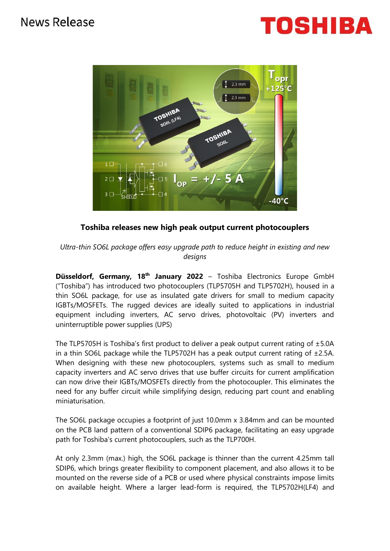## News Release





### **Toshiba releases new high peak output current photocouplers**

*Ultra-thin SO6L package offers easy upgrade path to reduce height in existing and new designs*

**Düsseldorf, Germany, 18th January 2022** – Toshiba Electronics Europe GmbH ("Toshiba") has introduced two photocouplers (TLP5705H and TLP5702H), housed in a thin SO6L package, for use as insulated gate drivers for small to medium capacity IGBTs/MOSFETs. The rugged devices are ideally suited to applications in industrial equipment including inverters, AC servo drives, photovoltaic (PV) inverters and uninterruptible power supplies (UPS)

The TLP5705H is Toshiba's first product to deliver a peak output current rating of  $\pm$ 5.0A in a thin SO6L package while the TLP5702H has a peak output current rating of  $\pm$ 2.5A. When designing with these new photocouplers, systems such as small to medium capacity inverters and AC servo drives that use buffer circuits for current amplification can now drive their IGBTs/MOSFETs directly from the photocoupler. This eliminates the need for any buffer circuit while simplifying design, reducing part count and enabling miniaturisation.

The SO6L package occupies a footprint of just 10.0mm x 3.84mm and can be mounted on the PCB land pattern of a conventional SDIP6 package, facilitating an easy upgrade path for Toshiba's current photocouplers, such as the TLP700H.

At only 2.3mm (max.) high, the SO6L package is thinner than the current 4.25mm tall SDIP6, which brings greater flexibility to component placement, and also allows it to be mounted on the reverse side of a PCB or used where physical constraints impose limits on available height. Where a larger lead-form is required, the TLP5702H(LF4) and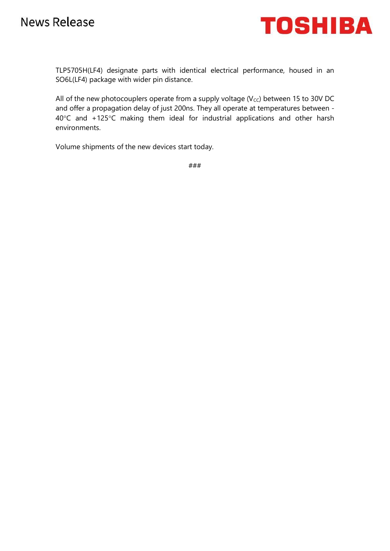

TLP5705H(LF4) designate parts with identical electrical performance, housed in an SO6L(LF4) package with wider pin distance.

All of the new photocouplers operate from a supply voltage ( $V_{CC}$ ) between 15 to 30V DC and offer a propagation delay of just 200ns. They all operate at temperatures between - 40°C and +125°C making them ideal for industrial applications and other harsh environments.

Volume shipments of the new devices start today.

###